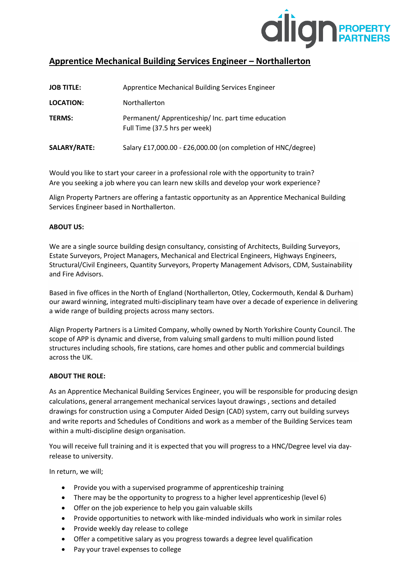

# **Apprentice Mechanical Building Services Engineer – Northallerton**

| <b>JOB TITLE:</b> | Apprentice Mechanical Building Services Engineer                                     |
|-------------------|--------------------------------------------------------------------------------------|
| <b>LOCATION:</b>  | Northallerton                                                                        |
| <b>TERMS:</b>     | Permanent/ Apprenticeship/ Inc. part time education<br>Full Time (37.5 hrs per week) |
| SALARY/RATE:      | Salary £17,000.00 - £26,000.00 (on completion of HNC/degree)                         |

Would you like to start your career in a professional role with the opportunity to train? Are you seeking a job where you can learn new skills and develop your work experience?

Align Property Partners are offering a fantastic opportunity as an Apprentice Mechanical Building Services Engineer based in Northallerton.

## **ABOUT US:**

We are a single source building design consultancy, consisting of Architects, Building Surveyors, Estate Surveyors, Project Managers, Mechanical and Electrical Engineers, Highways Engineers, Structural/Civil Engineers, Quantity Surveyors, Property Management Advisors, CDM, Sustainability and Fire Advisors.

Based in five offices in the North of England (Northallerton, Otley, Cockermouth, Kendal & Durham) our award winning, integrated multi-disciplinary team have over a decade of experience in delivering a wide range of building projects across many sectors.

Align Property Partners is a Limited Company, wholly owned by North Yorkshire County Council. The scope of APP is dynamic and diverse, from valuing small gardens to multi million pound listed structures including schools, fire stations, care homes and other public and commercial buildings across the UK.

## **ABOUT THE ROLE:**

As an Apprentice Mechanical Building Services Engineer, you will be responsible for producing design calculations, general arrangement mechanical services layout drawings , sections and detailed drawings for construction using a Computer Aided Design (CAD) system, carry out building surveys and write reports and Schedules of Conditions and work as a member of the Building Services team within a multi-discipline design organisation.

You will receive full training and it is expected that you will progress to a HNC/Degree level via dayrelease to university.

In return, we will;

- Provide you with a supervised programme of apprenticeship training
- There may be the opportunity to progress to a higher level apprenticeship (level 6)
- Offer on the job experience to help you gain valuable skills
- Provide opportunities to network with like-minded individuals who work in similar roles
- Provide weekly day release to college
- Offer a competitive salary as you progress towards a degree level qualification
- Pay your travel expenses to college